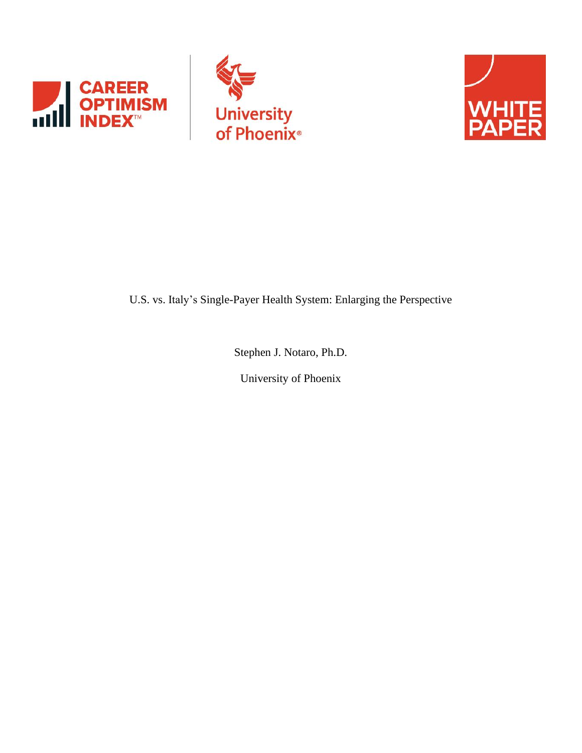





U.S. vs. Italy's Single-Payer Health System: Enlarging the Perspective

Stephen J. Notaro, Ph.D.

University of Phoenix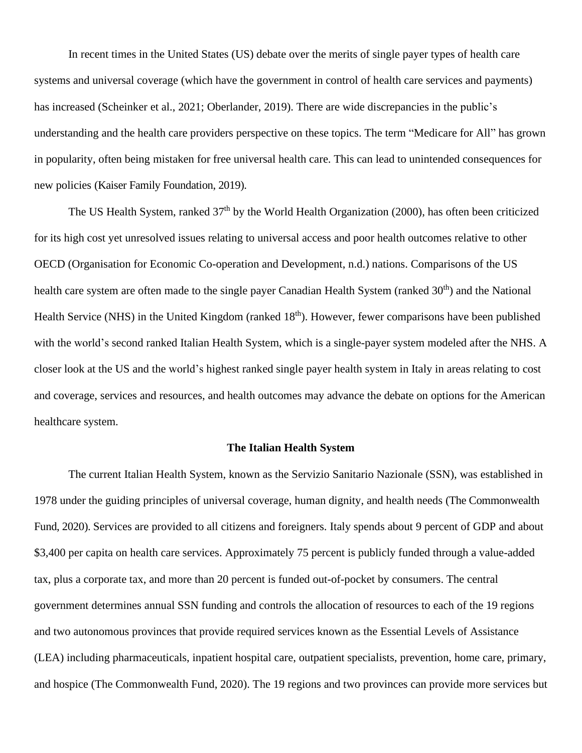In recent times in the United States (US) debate over the merits of single payer types of health care systems and universal coverage (which have the government in control of health care services and payments) has increased (Scheinker et al., 2021; Oberlander, 2019). There are wide discrepancies in the public's understanding and the health care providers perspective on these topics. The term "Medicare for All" has grown in popularity, often being mistaken for free universal health care. This can lead to unintended consequences for new policies (Kaiser Family Foundation, 2019).

The US Health System, ranked 37<sup>th</sup> by the World Health Organization (2000), has often been criticized for its high cost yet unresolved issues relating to universal access and poor health outcomes relative to other OECD (Organisation for Economic Co-operation and Development, n.d.) nations. Comparisons of the US health care system are often made to the single payer Canadian Health System (ranked 30<sup>th</sup>) and the National Health Service (NHS) in the United Kingdom (ranked 18<sup>th</sup>). However, fewer comparisons have been published with the world's second ranked Italian Health System, which is a single-payer system modeled after the NHS. A closer look at the US and the world's highest ranked single payer health system in Italy in areas relating to cost and coverage, services and resources, and health outcomes may advance the debate on options for the American healthcare system.

#### **The Italian Health System**

The current Italian Health System, known as the Servizio Sanitario Nazionale (SSN), was established in 1978 under the guiding principles of universal coverage, human dignity, and health needs (The Commonwealth Fund, 2020). Services are provided to all citizens and foreigners. Italy spends about 9 percent of GDP and about \$3,400 per capita on health care services. Approximately 75 percent is publicly funded through a value-added tax, plus a corporate tax, and more than 20 percent is funded out-of-pocket by consumers. The central government determines annual SSN funding and controls the allocation of resources to each of the 19 regions and two autonomous provinces that provide required services known as the Essential Levels of Assistance (LEA) including pharmaceuticals, inpatient hospital care, outpatient specialists, prevention, home care, primary, and hospice (The Commonwealth Fund, 2020). The 19 regions and two provinces can provide more services but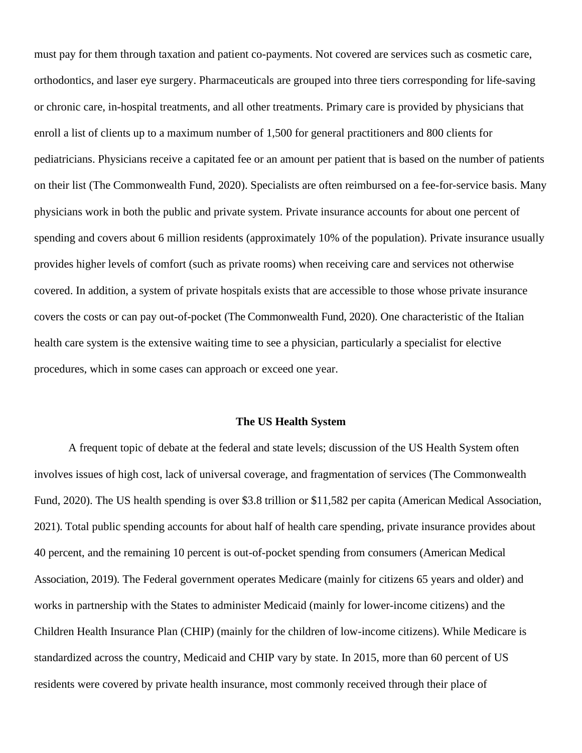must pay for them through taxation and patient co-payments. Not covered are services such as cosmetic care, orthodontics, and laser eye surgery. Pharmaceuticals are grouped into three tiers corresponding for life-saving or chronic care, in-hospital treatments, and all other treatments. Primary care is provided by physicians that enroll a list of clients up to a maximum number of 1,500 for general practitioners and 800 clients for pediatricians. Physicians receive a capitated fee or an amount per patient that is based on the number of patients on their list (The Commonwealth Fund, 2020). Specialists are often reimbursed on a fee-for-service basis. Many physicians work in both the public and private system. Private insurance accounts for about one percent of spending and covers about 6 million residents (approximately 10% of the population). Private insurance usually provides higher levels of comfort (such as private rooms) when receiving care and services not otherwise covered. In addition, a system of private hospitals exists that are accessible to those whose private insurance covers the costs or can pay out-of-pocket (The Commonwealth Fund, 2020). One characteristic of the Italian health care system is the extensive waiting time to see a physician, particularly a specialist for elective procedures, which in some cases can approach or exceed one year.

#### **The US Health System**

A frequent topic of debate at the federal and state levels; discussion of the US Health System often involves issues of high cost, lack of universal coverage, and fragmentation of services (The Commonwealth Fund, 2020). The US health spending is over \$3.8 trillion or \$11,582 per capita (American Medical Association, 2021). Total public spending accounts for about half of health care spending, private insurance provides about 40 percent, and the remaining 10 percent is out-of-pocket spending from consumers (American Medical Association, 2019). The Federal government operates Medicare (mainly for citizens 65 years and older) and works in partnership with the States to administer Medicaid (mainly for lower-income citizens) and the Children Health Insurance Plan (CHIP) (mainly for the children of low-income citizens). While Medicare is standardized across the country, Medicaid and CHIP vary by state. In 2015, more than 60 percent of US residents were covered by private health insurance, most commonly received through their place of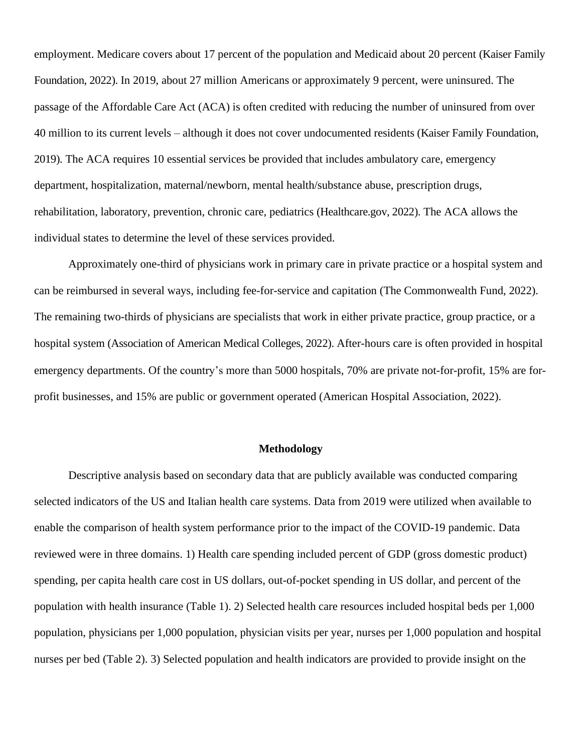employment. Medicare covers about 17 percent of the population and Medicaid about 20 percent (Kaiser Family Foundation, 2022). In 2019, about 27 million Americans or approximately 9 percent, were uninsured. The passage of the Affordable Care Act (ACA) is often credited with reducing the number of uninsured from over 40 million to its current levels – although it does not cover undocumented residents (Kaiser Family Foundation, 2019). The ACA requires 10 essential services be provided that includes ambulatory care, emergency department, hospitalization, maternal/newborn, mental health/substance abuse, prescription drugs, rehabilitation, laboratory, prevention, chronic care, pediatrics (Healthcare.gov, 2022). The ACA allows the individual states to determine the level of these services provided.

Approximately one-third of physicians work in primary care in private practice or a hospital system and can be reimbursed in several ways, including fee-for-service and capitation (The Commonwealth Fund, 2022). The remaining two-thirds of physicians are specialists that work in either private practice, group practice, or a hospital system (Association of American Medical Colleges, 2022). After-hours care is often provided in hospital emergency departments. Of the country's more than 5000 hospitals, 70% are private not-for-profit, 15% are forprofit businesses, and 15% are public or government operated (American Hospital Association, 2022).

### **Methodology**

Descriptive analysis based on secondary data that are publicly available was conducted comparing selected indicators of the US and Italian health care systems. Data from 2019 were utilized when available to enable the comparison of health system performance prior to the impact of the COVID-19 pandemic. Data reviewed were in three domains. 1) Health care spending included percent of GDP (gross domestic product) spending, per capita health care cost in US dollars, out-of-pocket spending in US dollar, and percent of the population with health insurance (Table 1). 2) Selected health care resources included hospital beds per 1,000 population, physicians per 1,000 population, physician visits per year, nurses per 1,000 population and hospital nurses per bed (Table 2). 3) Selected population and health indicators are provided to provide insight on the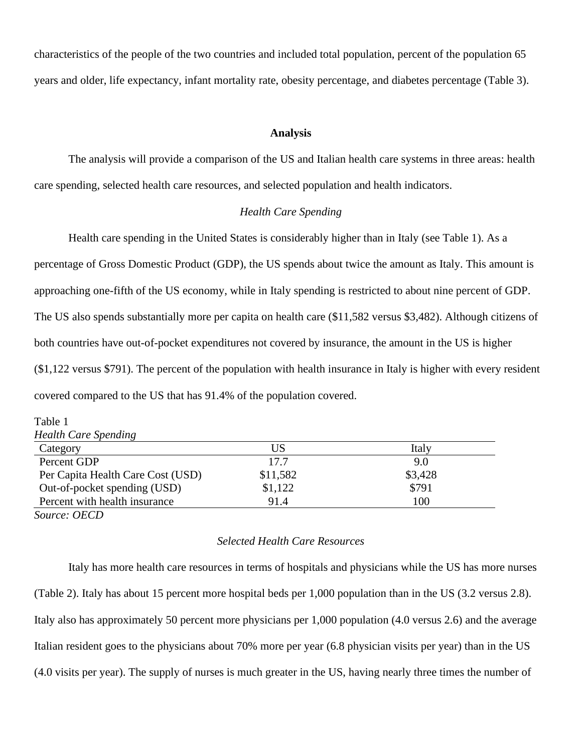characteristics of the people of the two countries and included total population, percent of the population 65 years and older, life expectancy, infant mortality rate, obesity percentage, and diabetes percentage (Table 3).

#### **Analysis**

The analysis will provide a comparison of the US and Italian health care systems in three areas: health care spending, selected health care resources, and selected population and health indicators.

# *Health Care Spending*

Health care spending in the United States is considerably higher than in Italy (see Table 1). As a percentage of Gross Domestic Product (GDP), the US spends about twice the amount as Italy. This amount is approaching one-fifth of the US economy, while in Italy spending is restricted to about nine percent of GDP. The US also spends substantially more per capita on health care (\$11,582 versus \$3,482). Although citizens of both countries have out-of-pocket expenditures not covered by insurance, the amount in the US is higher (\$1,122 versus \$791). The percent of the population with health insurance in Italy is higher with every resident covered compared to the US that has 91.4% of the population covered.

| Table 1                           |          |         |
|-----------------------------------|----------|---------|
| <b>Health Care Spending</b>       |          |         |
| Category                          | US       | Italy   |
| Percent GDP                       | 17.7     | 9.0     |
| Per Capita Health Care Cost (USD) | \$11,582 | \$3,428 |
| Out-of-pocket spending (USD)      | \$1,122  | \$791   |
| Percent with health insurance     | 91.4     | 100     |
|                                   |          |         |

*Source: OECD*

### *Selected Health Care Resources*

Italy has more health care resources in terms of hospitals and physicians while the US has more nurses (Table 2). Italy has about 15 percent more hospital beds per 1,000 population than in the US (3.2 versus 2.8). Italy also has approximately 50 percent more physicians per 1,000 population (4.0 versus 2.6) and the average Italian resident goes to the physicians about 70% more per year (6.8 physician visits per year) than in the US (4.0 visits per year). The supply of nurses is much greater in the US, having nearly three times the number of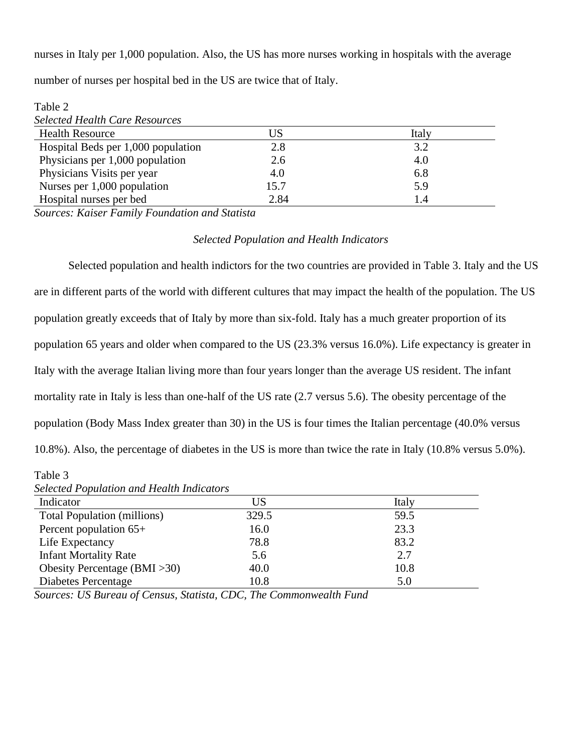nurses in Italy per 1,000 population. Also, the US has more nurses working in hospitals with the average

number of nurses per hospital bed in the US are twice that of Italy.

| Table 2                               |      |       |  |
|---------------------------------------|------|-------|--|
| <b>Selected Health Care Resources</b> |      |       |  |
| <b>Health Resource</b>                | US   | Italy |  |
| Hospital Beds per 1,000 population    | 2.8  | 3.2   |  |
| Physicians per 1,000 population       | 2.6  | 4.0   |  |
| Physicians Visits per year            | 4.0  | 6.8   |  |
| Nurses per 1,000 population           | 15.7 | 5.9   |  |
| Hospital nurses per bed               | 2.84 | 1.4   |  |

*Sources: Kaiser Family Foundation and Statista*

# *Selected Population and Health Indicators*

Selected population and health indictors for the two countries are provided in Table 3. Italy and the US are in different parts of the world with different cultures that may impact the health of the population. The US population greatly exceeds that of Italy by more than six-fold. Italy has a much greater proportion of its population 65 years and older when compared to the US (23.3% versus 16.0%). Life expectancy is greater in Italy with the average Italian living more than four years longer than the average US resident. The infant mortality rate in Italy is less than one-half of the US rate (2.7 versus 5.6). The obesity percentage of the population (Body Mass Index greater than 30) in the US is four times the Italian percentage (40.0% versus 10.8%). Also, the percentage of diabetes in the US is more than twice the rate in Italy (10.8% versus 5.0%).

Table 3

| Indicator                          | US    | Italy |
|------------------------------------|-------|-------|
| <b>Total Population (millions)</b> | 329.5 | 59.5  |
| Percent population 65+             | 16.0  | 23.3  |
| Life Expectancy                    | 78.8  | 83.2  |
| <b>Infant Mortality Rate</b>       | 5.6   | 2.7   |
| Obesity Percentage $(BMI > 30)$    | 40.0  | 10.8  |
| Diabetes Percentage                | 10.8  | 5.0   |

*Sources: US Bureau of Census, Statista, CDC, The Commonwealth Fund*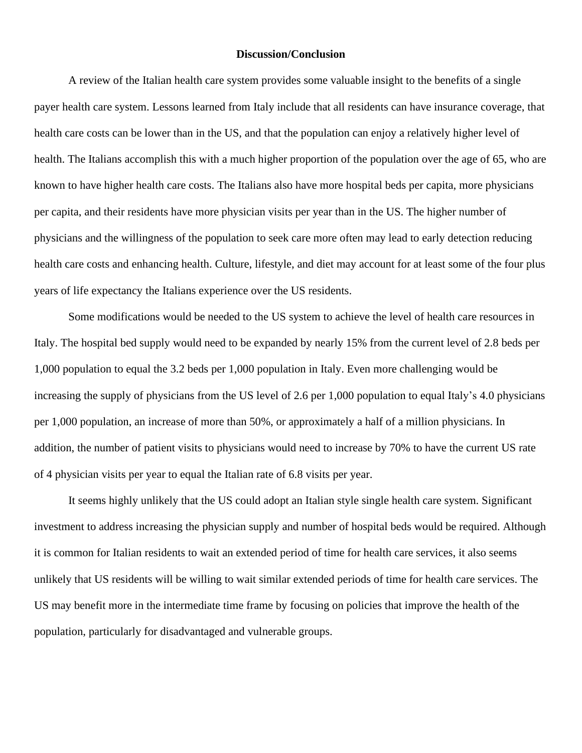#### **Discussion/Conclusion**

A review of the Italian health care system provides some valuable insight to the benefits of a single payer health care system. Lessons learned from Italy include that all residents can have insurance coverage, that health care costs can be lower than in the US, and that the population can enjoy a relatively higher level of health. The Italians accomplish this with a much higher proportion of the population over the age of 65, who are known to have higher health care costs. The Italians also have more hospital beds per capita, more physicians per capita, and their residents have more physician visits per year than in the US. The higher number of physicians and the willingness of the population to seek care more often may lead to early detection reducing health care costs and enhancing health. Culture, lifestyle, and diet may account for at least some of the four plus years of life expectancy the Italians experience over the US residents.

Some modifications would be needed to the US system to achieve the level of health care resources in Italy. The hospital bed supply would need to be expanded by nearly 15% from the current level of 2.8 beds per 1,000 population to equal the 3.2 beds per 1,000 population in Italy. Even more challenging would be increasing the supply of physicians from the US level of 2.6 per 1,000 population to equal Italy's 4.0 physicians per 1,000 population, an increase of more than 50%, or approximately a half of a million physicians. In addition, the number of patient visits to physicians would need to increase by 70% to have the current US rate of 4 physician visits per year to equal the Italian rate of 6.8 visits per year.

It seems highly unlikely that the US could adopt an Italian style single health care system. Significant investment to address increasing the physician supply and number of hospital beds would be required. Although it is common for Italian residents to wait an extended period of time for health care services, it also seems unlikely that US residents will be willing to wait similar extended periods of time for health care services. The US may benefit more in the intermediate time frame by focusing on policies that improve the health of the population, particularly for disadvantaged and vulnerable groups.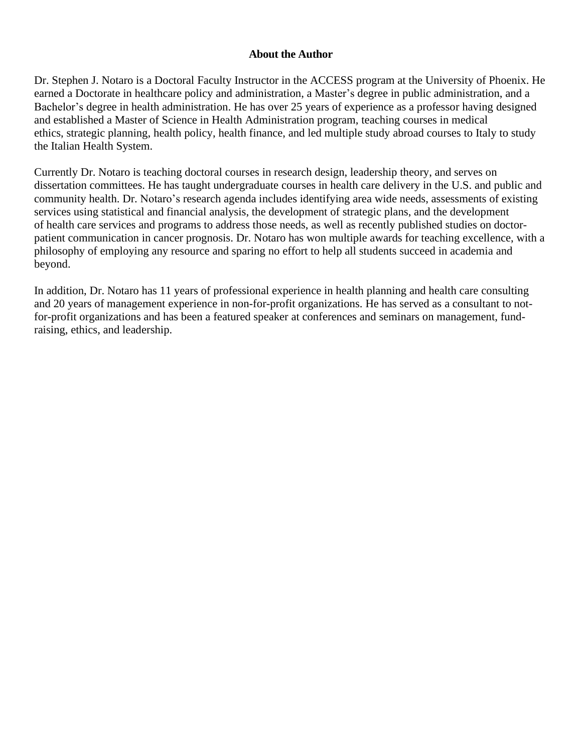# **About the Author**

Dr. Stephen J. Notaro is a Doctoral Faculty Instructor in the ACCESS program at the University of Phoenix. He earned a Doctorate in healthcare policy and administration, a Master's degree in public administration, and a Bachelor's degree in health administration. He has over 25 years of experience as a professor having designed and established a Master of Science in Health Administration program, teaching courses in medical ethics, strategic planning, health policy, health finance, and led multiple study abroad courses to Italy to study the Italian Health System.

Currently Dr. Notaro is teaching doctoral courses in research design, leadership theory, and serves on dissertation committees. He has taught undergraduate courses in health care delivery in the U.S. and public and community health. Dr. Notaro's research agenda includes identifying area wide needs, assessments of existing services using statistical and financial analysis, the development of strategic plans, and the development of health care services and programs to address those needs, as well as recently published studies on doctorpatient communication in cancer prognosis. Dr. Notaro has won multiple awards for teaching excellence, with a philosophy of employing any resource and sparing no effort to help all students succeed in academia and beyond.

In addition, Dr. Notaro has 11 years of professional experience in health planning and health care consulting and 20 years of management experience in non-for-profit organizations. He has served as a consultant to notfor-profit organizations and has been a featured speaker at conferences and seminars on management, fundraising, ethics, and leadership.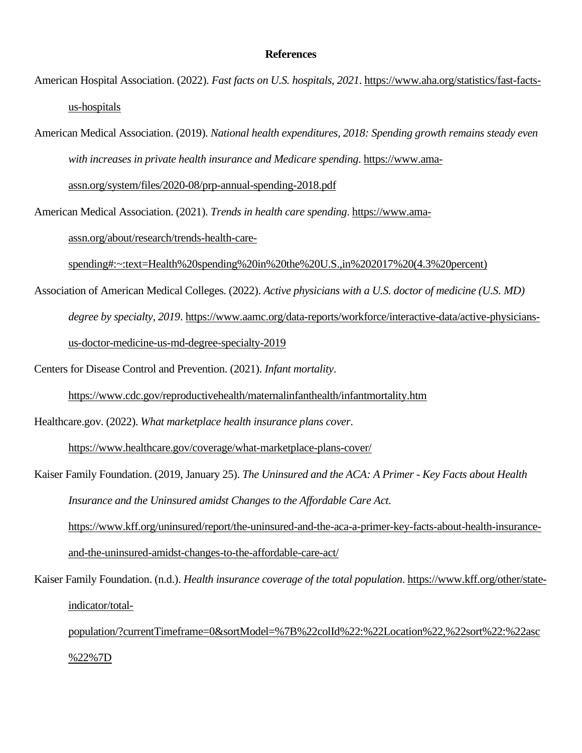#### **References**

- American Hospital Association. (2022). *Fast facts on U.S. hospitals, 2021*. [https://www.aha.org/statistics/fast-facts](https://www.aha.org/statistics/fast-facts-us-hospitals)[us-hospitals](https://www.aha.org/statistics/fast-facts-us-hospitals)
- American Medical Association. (2019). *National health expenditures, 2018: Spending growth remains steady even with increases in private health insurance and Medicare spending*. [https://www.ama](https://www.ama-assn.org/system/files/2020-08/prp-annual-spending-2018.pdf)[assn.org/system/files/2020-08/prp-annual-spending-2018.pdf](https://www.ama-assn.org/system/files/2020-08/prp-annual-spending-2018.pdf)
- American Medical Association. (2021). *Trends in health care spending*. [https://www.ama](https://www.ama-assn.org/about/research/trends-health-care-spending#:~:text=Health%20spending%20in%20the%20U.S.,in%202017%20(4.3%20percent))[assn.org/about/research/trends-health-care-](https://www.ama-assn.org/about/research/trends-health-care-spending#:~:text=Health%20spending%20in%20the%20U.S.,in%202017%20(4.3%20percent))

[spending#:~:text=Health%20spending%20in%20the%20U.S.,in%202017%20\(4.3%20percent\)](https://www.ama-assn.org/about/research/trends-health-care-spending#:~:text=Health%20spending%20in%20the%20U.S.,in%202017%20(4.3%20percent))

Association of American Medical Colleges. (2022). *Active physicians with a U.S. doctor of medicine (U.S. MD) degree by specialty, 2019*. [https://www.aamc.org/data-reports/workforce/interactive-data/active-physicians](https://www.aamc.org/data-reports/workforce/interactive-data/active-physicians-us-doctor-medicine-us-md-degree-specialty-2019)[us-doctor-medicine-us-md-degree-specialty-2019](https://www.aamc.org/data-reports/workforce/interactive-data/active-physicians-us-doctor-medicine-us-md-degree-specialty-2019)

Centers for Disease Control and Prevention. (2021). *Infant mortality*.

<https://www.cdc.gov/reproductivehealth/maternalinfanthealth/infantmortality.htm>

Healthcare.gov. (2022). *What marketplace health insurance plans cover*.

<https://www.healthcare.gov/coverage/what-marketplace-plans-cover/>

- Kaiser Family Foundation. (2019, January 25). *The Uninsured and the ACA: A Primer - Key Facts about Health Insurance and the Uninsured amidst Changes to the Affordable Care Act*. [https://www.kff.org/uninsured/report/the-uninsured-and-the-aca-a-primer-key-facts-about-health-insurance](https://www.kff.org/uninsured/report/the-uninsured-and-the-aca-a-primer-key-facts-about-health-insurance-and-the-uninsured-amidst-changes-to-the-affordable-care-act/)[and-the-uninsured-amidst-changes-to-the-affordable-care-act/](https://www.kff.org/uninsured/report/the-uninsured-and-the-aca-a-primer-key-facts-about-health-insurance-and-the-uninsured-amidst-changes-to-the-affordable-care-act/)
- Kaiser Family Foundation. (n.d.). *Health insurance coverage of the total population*. [https://www.kff.org/other/state](https://www.kff.org/other/state-indicator/total-population/?currentTimeframe=0&sortModel=%7B%22colId%22:%22Location%22,%22sort%22:%22asc%22%7D)[indicator/total-](https://www.kff.org/other/state-indicator/total-population/?currentTimeframe=0&sortModel=%7B%22colId%22:%22Location%22,%22sort%22:%22asc%22%7D)

[population/?currentTimeframe=0&sortModel=%7B%22colId%22:%22Location%22,%22sort%22:%22asc](https://www.kff.org/other/state-indicator/total-population/?currentTimeframe=0&sortModel=%7B%22colId%22:%22Location%22,%22sort%22:%22asc%22%7D) [%22%7D](https://www.kff.org/other/state-indicator/total-population/?currentTimeframe=0&sortModel=%7B%22colId%22:%22Location%22,%22sort%22:%22asc%22%7D)